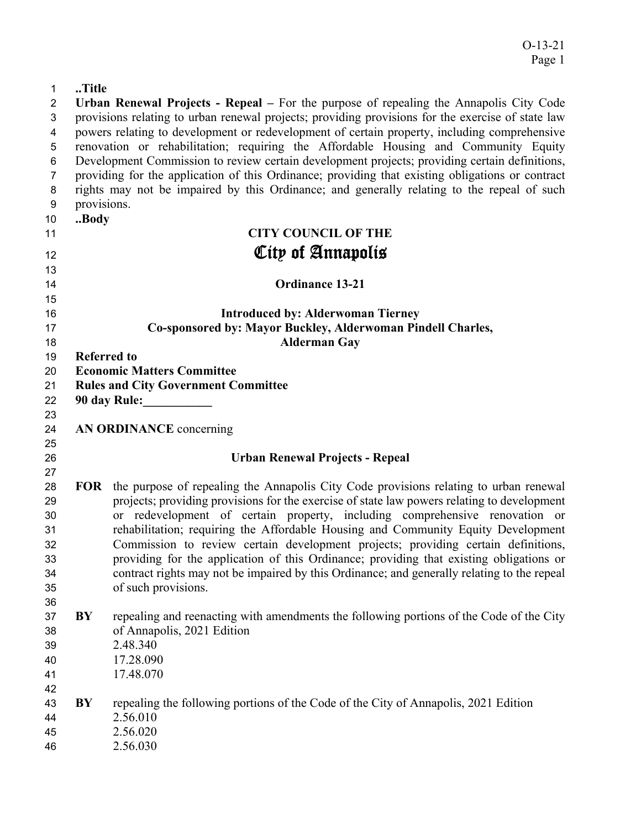## **..Title**

| $\overline{2}$ |                    | Urban Renewal Projects - Repeal – For the purpose of repealing the Annapolis City Code                                                                                                            |
|----------------|--------------------|---------------------------------------------------------------------------------------------------------------------------------------------------------------------------------------------------|
| 3              |                    | provisions relating to urban renewal projects; providing provisions for the exercise of state law                                                                                                 |
| 4              |                    | powers relating to development or redevelopment of certain property, including comprehensive                                                                                                      |
| 5              |                    | renovation or rehabilitation; requiring the Affordable Housing and Community Equity                                                                                                               |
| 6<br>7         |                    | Development Commission to review certain development projects; providing certain definitions,<br>providing for the application of this Ordinance; providing that existing obligations or contract |
| 8              |                    | rights may not be impaired by this Ordinance; and generally relating to the repeal of such                                                                                                        |
| 9              | provisions.        |                                                                                                                                                                                                   |
| 10             | Body               |                                                                                                                                                                                                   |
| 11             |                    | <b>CITY COUNCIL OF THE</b>                                                                                                                                                                        |
| 12             |                    | City of Annapolis                                                                                                                                                                                 |
| 13             |                    |                                                                                                                                                                                                   |
| 14             |                    | <b>Ordinance 13-21</b>                                                                                                                                                                            |
| 15             |                    |                                                                                                                                                                                                   |
| 16             |                    | <b>Introduced by: Alderwoman Tierney</b>                                                                                                                                                          |
| 17             |                    | Co-sponsored by: Mayor Buckley, Alderwoman Pindell Charles,                                                                                                                                       |
| 18             |                    | <b>Alderman Gay</b>                                                                                                                                                                               |
| 19             | <b>Referred to</b> |                                                                                                                                                                                                   |
| 20             |                    | <b>Economic Matters Committee</b>                                                                                                                                                                 |
| 21             |                    | <b>Rules and City Government Committee</b>                                                                                                                                                        |
| 22             |                    | 90 day Rule:                                                                                                                                                                                      |
| 23<br>24       |                    | AN ORDINANCE concerning                                                                                                                                                                           |
| 25             |                    |                                                                                                                                                                                                   |
| 26             |                    | <b>Urban Renewal Projects - Repeal</b>                                                                                                                                                            |
| 27             |                    |                                                                                                                                                                                                   |
| 28             | <b>FOR</b>         | the purpose of repealing the Annapolis City Code provisions relating to urban renewal                                                                                                             |
| 29             |                    | projects; providing provisions for the exercise of state law powers relating to development                                                                                                       |
| 30             |                    | or redevelopment of certain property, including comprehensive renovation or                                                                                                                       |
| 31             |                    | rehabilitation; requiring the Affordable Housing and Community Equity Development                                                                                                                 |
| 32             |                    | Commission to review certain development projects; providing certain definitions,                                                                                                                 |
| 33<br>34       |                    | providing for the application of this Ordinance; providing that existing obligations or<br>contract rights may not be impaired by this Ordinance; and generally relating to the repeal            |
| 35             |                    | of such provisions.                                                                                                                                                                               |
| 36             |                    |                                                                                                                                                                                                   |
| 37             | BY                 | repealing and reenacting with amendments the following portions of the Code of the City                                                                                                           |
| 38             |                    | of Annapolis, 2021 Edition                                                                                                                                                                        |
| 39             |                    | 2.48.340                                                                                                                                                                                          |
| 40             |                    | 17.28.090                                                                                                                                                                                         |
| 41             |                    | 17.48.070                                                                                                                                                                                         |
| 42             |                    |                                                                                                                                                                                                   |
| 43             | BY                 | repealing the following portions of the Code of the City of Annapolis, 2021 Edition                                                                                                               |
| 44             |                    | 2.56.010                                                                                                                                                                                          |
| 45             |                    | 2.56.020                                                                                                                                                                                          |
| 46             |                    | 2.56.030                                                                                                                                                                                          |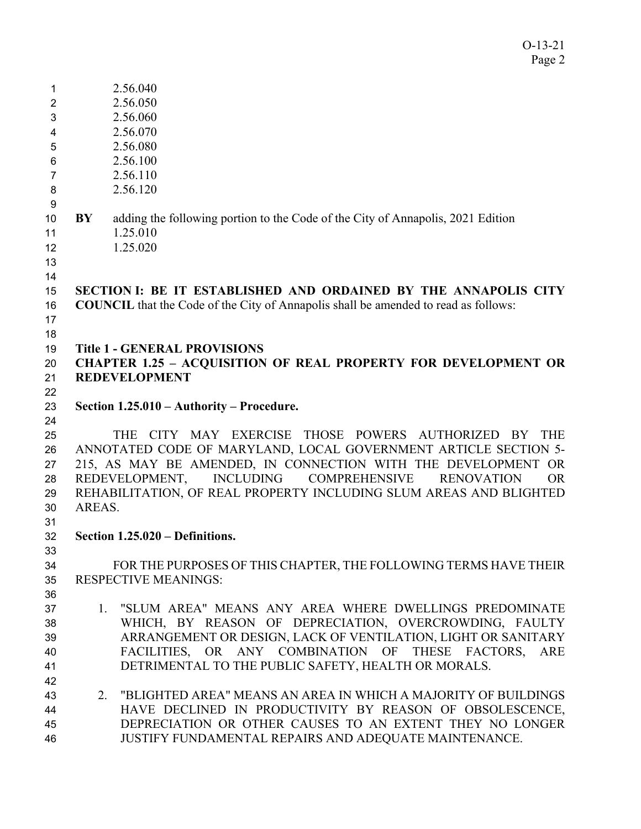O-13-21 Page 2

| 1              |        | 2.56.040                                                                                     |
|----------------|--------|----------------------------------------------------------------------------------------------|
| $\overline{2}$ |        | 2.56.050                                                                                     |
| 3              |        | 2.56.060                                                                                     |
| 4              |        | 2.56.070                                                                                     |
| 5              |        | 2.56.080                                                                                     |
| 6              |        | 2.56.100                                                                                     |
| 7              |        | 2.56.110                                                                                     |
| 8              |        | 2.56.120                                                                                     |
| 9              |        |                                                                                              |
| 10<br>11       | BY     | adding the following portion to the Code of the City of Annapolis, 2021 Edition<br>1.25.010  |
| 12             |        | 1.25.020                                                                                     |
| 13             |        |                                                                                              |
| 14             |        |                                                                                              |
| 15             |        | SECTION I: BE IT ESTABLISHED AND ORDAINED BY THE ANNAPOLIS CITY                              |
| 16             |        | <b>COUNCIL</b> that the Code of the City of Annapolis shall be amended to read as follows:   |
| 17             |        |                                                                                              |
| 18             |        |                                                                                              |
| 19             |        | <b>Title 1 - GENERAL PROVISIONS</b>                                                          |
| 20             |        | <b>CHAPTER 1.25 - ACQUISITION OF REAL PROPERTY FOR DEVELOPMENT OR</b>                        |
| 21             |        | <b>REDEVELOPMENT</b>                                                                         |
| 22             |        |                                                                                              |
| 23             |        | Section 1.25.010 - Authority - Procedure.                                                    |
| 24             |        |                                                                                              |
| 25             |        | CITY MAY EXERCISE THOSE POWERS AUTHORIZED BY<br><b>THE</b><br><b>THE</b>                     |
| 26             |        | ANNOTATED CODE OF MARYLAND, LOCAL GOVERNMENT ARTICLE SECTION 5-                              |
| 27             |        | 215, AS MAY BE AMENDED, IN CONNECTION WITH THE DEVELOPMENT OR                                |
| 28             |        | <b>INCLUDING</b><br><b>COMPREHENSIVE</b><br><b>RENOVATION</b><br>REDEVELOPMENT,<br><b>OR</b> |
| 29             |        | REHABILITATION, OF REAL PROPERTY INCLUDING SLUM AREAS AND BLIGHTED                           |
| 30             | AREAS. |                                                                                              |
| 31             |        |                                                                                              |
| 32             |        | Section 1.25.020 – Definitions.                                                              |
| 33             |        |                                                                                              |
| 34             |        | FOR THE PURPOSES OF THIS CHAPTER, THE FOLLOWING TERMS HAVE THEIR                             |
| 35             |        | <b>RESPECTIVE MEANINGS:</b>                                                                  |
| 36             |        |                                                                                              |
| 37             |        | 1. "SLUM AREA" MEANS ANY AREA WHERE DWELLINGS PREDOMINATE                                    |
| 38             |        | WHICH, BY REASON OF DEPRECIATION, OVERCROWDING, FAULTY                                       |
| 39             |        | ARRANGEMENT OR DESIGN, LACK OF VENTILATION, LIGHT OR SANITARY                                |
| 40             |        | FACILITIES, OR ANY COMBINATION OF THESE FACTORS, ARE                                         |
| 41             |        | DETRIMENTAL TO THE PUBLIC SAFETY, HEALTH OR MORALS.                                          |
| 42             |        |                                                                                              |
| 43             | 2.     | "BLIGHTED AREA" MEANS AN AREA IN WHICH A MAJORITY OF BUILDINGS                               |
| 44             |        | HAVE DECLINED IN PRODUCTIVITY BY REASON OF OBSOLESCENCE,                                     |
| 45             |        | DEPRECIATION OR OTHER CAUSES TO AN EXTENT THEY NO LONGER                                     |
| 46             |        | JUSTIFY FUNDAMENTAL REPAIRS AND ADEQUATE MAINTENANCE.                                        |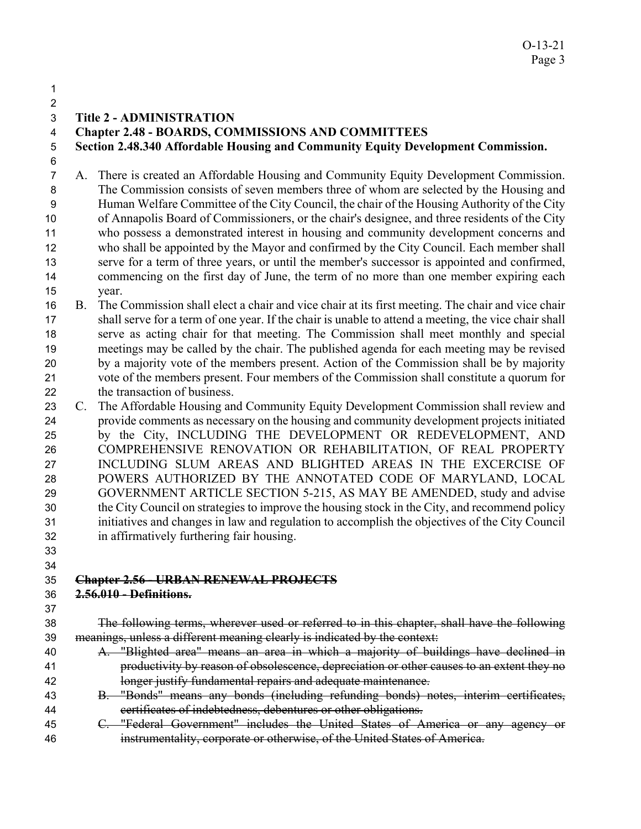- 
- 

### **Title 2 - ADMINISTRATION**

## **Chapter 2.48 - BOARDS, COMMISSIONS AND COMMITTEES**

**Section 2.48.340 Affordable Housing and Community Equity Development Commission.**  

- A. There is created an Affordable Housing and Community Equity Development Commission. The Commission consists of seven members three of whom are selected by the Housing and Human Welfare Committee of the City Council, the chair of the Housing Authority of the City of Annapolis Board of Commissioners, or the chair's designee, and three residents of the City who possess a demonstrated interest in housing and community development concerns and who shall be appointed by the Mayor and confirmed by the City Council. Each member shall serve for a term of three years, or until the member's successor is appointed and confirmed, 14 commencing on the first day of June, the term of no more than one member expiring each year.
- B. The Commission shall elect a chair and vice chair at its first meeting. The chair and vice chair shall serve for a term of one year. If the chair is unable to attend a meeting, the vice chair shall serve as acting chair for that meeting. The Commission shall meet monthly and special meetings may be called by the chair. The published agenda for each meeting may be revised by a majority vote of the members present. Action of the Commission shall be by majority vote of the members present. Four members of the Commission shall constitute a quorum for the transaction of business.
- C. The Affordable Housing and Community Equity Development Commission shall review and provide comments as necessary on the housing and community development projects initiated by the City, INCLUDING THE DEVELOPMENT OR REDEVELOPMENT, AND COMPREHENSIVE RENOVATION OR REHABILITATION, OF REAL PROPERTY INCLUDING SLUM AREAS AND BLIGHTED AREAS IN THE EXCERCISE OF POWERS AUTHORIZED BY THE ANNOTATED CODE OF MARYLAND, LOCAL GOVERNMENT ARTICLE SECTION 5-215, AS MAY BE AMENDED, study and advise the City Council on strategies to improve the housing stock in the City, and recommend policy initiatives and changes in law and regulation to accomplish the objectives of the City Council in affirmatively furthering fair housing.
- 

### **Chapter 2.56 - URBAN RENEWAL PROJECTS**

- **2.56.010 Definitions.**
- 
- The following terms, wherever used or referred to in this chapter, shall have the following meanings, unless a different meaning clearly is indicated by the context:
- A. "Blighted area" means an area in which a majority of buildings have declined in productivity by reason of obsolescence, depreciation or other causes to an extent they no longer justify fundamental repairs and adequate maintenance.
- B. "Bonds" means any bonds (including refunding bonds) notes, interim certificates, certificates of indebtedness, debentures or other obligations.
- C. "Federal Government" includes the United States of America or any agency or instrumentality, corporate or otherwise, of the United States of America.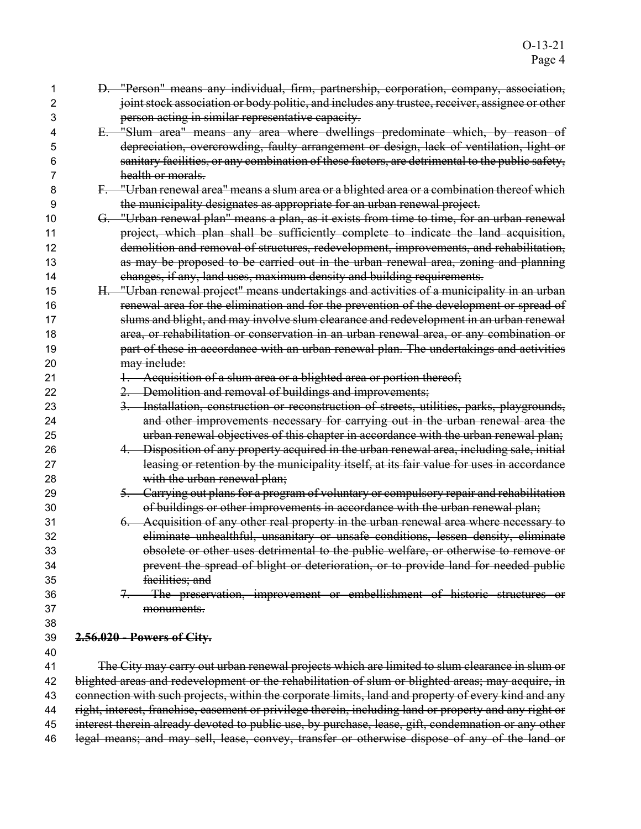| 1        | D. "Person" means any individual, firm, partnership, corporation, company, association,                |
|----------|--------------------------------------------------------------------------------------------------------|
| 2        | joint stock association or body politic, and includes any trustee, receiver, assignee or other         |
| 3        | person acting in similar representative capacity.                                                      |
| 4        | E. "Slum area" means any area where dwellings predominate which, by reason of                          |
| 5        | depreciation, overcrowding, faulty arrangement or design, lack of ventilation, light or                |
| 6        | sanitary facilities, or any combination of these factors, are detrimental to the public safety,        |
| 7        | health or morals.                                                                                      |
| 8        | F. "Urban renewal area" means a slum area or a blighted area or a combination thereof which            |
| 9        | the municipality designates as appropriate for an urban renewal project.                               |
| 10       | G. "Urban renewal plan" means a plan, as it exists from time to time, for an urban renewal             |
| 11       | project, which plan shall be sufficiently complete to indicate the land acquisition,                   |
| 12       | demolition and removal of structures, redevelopment, improvements, and rehabilitation,                 |
| 13       | as may be proposed to be carried out in the urban renewal area, zoning and planning                    |
| 14       | changes, if any, land uses, maximum density and building requirements.                                 |
| 15       | H. "Urban renewal project" means undertakings and activities of a municipality in an urban             |
| 16       | renewal area for the elimination and for the prevention of the development or spread of                |
| 17       | slums and blight, and may involve slum clearance and redevelopment in an urban renewal                 |
| 18       | area, or rehabilitation or conservation in an urban renewal area, or any combination or                |
| 19       | part of these in accordance with an urban renewal plan. The undertakings and activities                |
| 20       | may include:                                                                                           |
| 21       | 1. Acquisition of a slum area or a blighted area or portion thereof;                                   |
| 22       | 2. Demolition and removal of buildings and improvements;                                               |
| 23       | 3. Installation, construction or reconstruction of streets, utilities, parks, playgrounds,             |
| 24       | and other improvements necessary for carrying out in the urban renewal area the                        |
| 25       | urban renewal objectives of this chapter in accordance with the urban renewal plan;                    |
| 26       | 4. Disposition of any property acquired in the urban renewal area, including sale, initial             |
| 27       | leasing or retention by the municipality itself, at its fair value for uses in accordance              |
| 28       | with the urban renewal plan;                                                                           |
| 29       | 5. Carrying out plans for a program of voluntary or compulsory repair and rehabilitation               |
| 30       | of buildings or other improvements in accordance with the urban renewal plan;                          |
| 31       | 6. Acquisition of any other real property in the urban renewal area where necessary to                 |
| 32       | eliminate unhealthful, unsanitary or unsafe conditions, lessen density, eliminate                      |
| 33       | obsolete or other uses detrimental to the public welfare, or otherwise to remove or                    |
| 34       | prevent the spread of blight or deterioration, or to provide land for needed public                    |
| 35       | facilities; and                                                                                        |
| 36       | The preservation, improvement or embellishment of historic structures or                               |
| 37       | monuments.                                                                                             |
| 38       |                                                                                                        |
| 39<br>40 | 2.56.020 - Powers of City.                                                                             |
| 41       | The City may carry out urban renewal projects which are limited to slum clearance in slum or           |
| 42       | blighted areas and redevelopment or the rehabilitation of slum or blighted areas; may acquire, in      |
| 43       | connection with such projects, within the corporate limits, land and property of every kind and any    |
| 44       | right, interest, franchise, easement or privilege therein, including land or property and any right or |
| 45       | interest therein already devoted to public use, by purchase, lease, gift, condemnation or any other    |

legal means; and may sell, lease, convey, transfer or otherwise dispose of any of the land or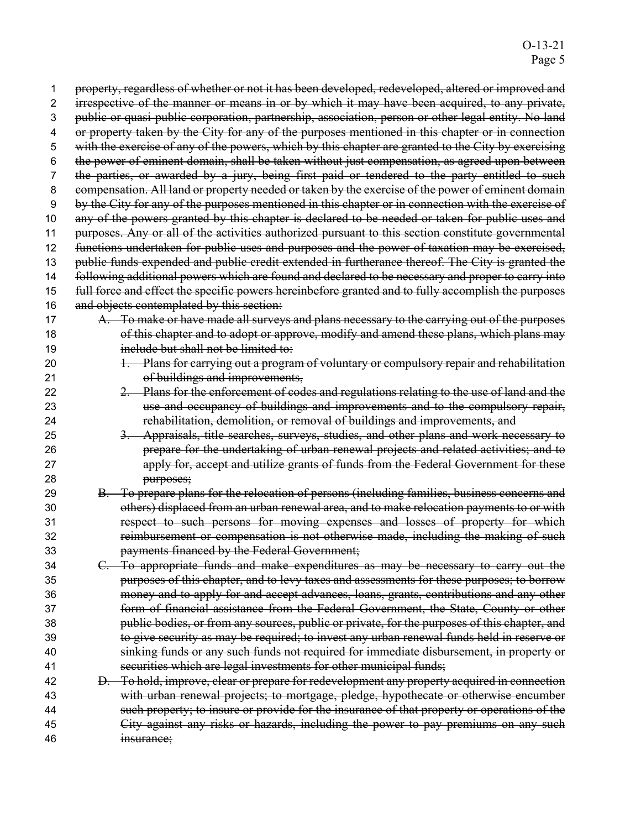| 1  | property, regardless of whether or not it has been developed, redeveloped, altered or improved and  |
|----|-----------------------------------------------------------------------------------------------------|
| 2  | irrespective of the manner or means in or by which it may have been acquired, to any private,       |
| 3  | public or quasi-public corporation, partnership, association, person or other legal entity. No land |
| 4  | or property taken by the City for any of the purposes mentioned in this chapter or in connection    |
| 5  | with the exercise of any of the powers, which by this chapter are granted to the City by exercising |
| 6  | the power of eminent domain, shall be taken without just compensation, as agreed upon between       |
| 7  | the parties, or awarded by a jury, being first paid or tendered to the party entitled to such       |
| 8  | compensation. All land or property needed or taken by the exercise of the power of eminent domain   |
| 9  | by the City for any of the purposes mentioned in this chapter or in connection with the exercise of |
| 10 | any of the powers granted by this chapter is declared to be needed or taken for public uses and     |
| 11 | purposes. Any or all of the activities authorized pursuant to this section constitute governmental  |
| 12 | functions undertaken for public uses and purposes and the power of taxation may be exercised,       |
| 13 | public funds expended and public credit extended in furtherance thereof. The City is granted the    |
| 14 | following additional powers which are found and declared to be necessary and proper to carry into   |
| 15 | full force and effect the specific powers hereinbefore granted and to fully accomplish the purposes |
| 16 | and objects contemplated by this section:                                                           |
| 17 | A. To make or have made all surveys and plans necessary to the carrying out of the purposes         |
| 18 | of this chapter and to adopt or approve, modify and amend these plans, which plans may              |
| 19 | include but shall not be limited to:                                                                |
| 20 | 1. Plans for carrying out a program of voluntary or compulsory repair and rehabilitation            |
| 21 | of buildings and improvements,                                                                      |
| 22 | 2. Plans for the enforcement of codes and regulations relating to the use of land and the           |
| 23 | use and occupancy of buildings and improvements and to the compulsory repair,                       |
| 24 | rehabilitation, demolition, or removal of buildings and improvements, and                           |
| 25 | 3. Appraisals, title searches, surveys, studies, and other plans and work necessary to              |
| 26 | prepare for the undertaking of urban renewal projects and related activities; and to                |
| 27 | apply for, accept and utilize grants of funds from the Federal Government for these                 |
| 28 | purposes;                                                                                           |
| 29 | B. To prepare plans for the relocation of persons (including families, business concerns and        |
| 30 | others) displaced from an urban renewal area, and to make relocation payments to or with            |
| 31 | respect to such persons for moving expenses and losses of property for which                        |
| 32 | reimbursement or compensation is not otherwise made, including the making of such                   |
| 33 | payments financed by the Federal Government;                                                        |
| 34 | C. To appropriate funds and make expenditures as may be necessary to carry out the                  |
| 35 | purposes of this chapter, and to levy taxes and assessments for these purposes; to borrow           |
| 36 | money and to apply for and accept advances, loans, grants, contributions and any other              |
| 37 | form of financial assistance from the Federal Government, the State, County or other                |
| 38 | public bodies, or from any sources, public or private, for the purposes of this chapter, and        |
| 39 | to give security as may be required; to invest any urban renewal funds held in reserve or           |
| 40 | sinking funds or any such funds not required for immediate disbursement, in property or             |
| 41 | securities which are legal investments for other municipal funds;                                   |
| 42 | D. To hold, improve, clear or prepare for redevelopment any property acquired in connection         |
| 43 | with urban renewal projects; to mortgage, pledge, hypothecate or otherwise encumber                 |
| 44 | such property; to insure or provide for the insurance of that property or operations of the         |
| 45 | City against any risks or hazards, including the power to pay premiums on any such                  |
| 46 | msurance;                                                                                           |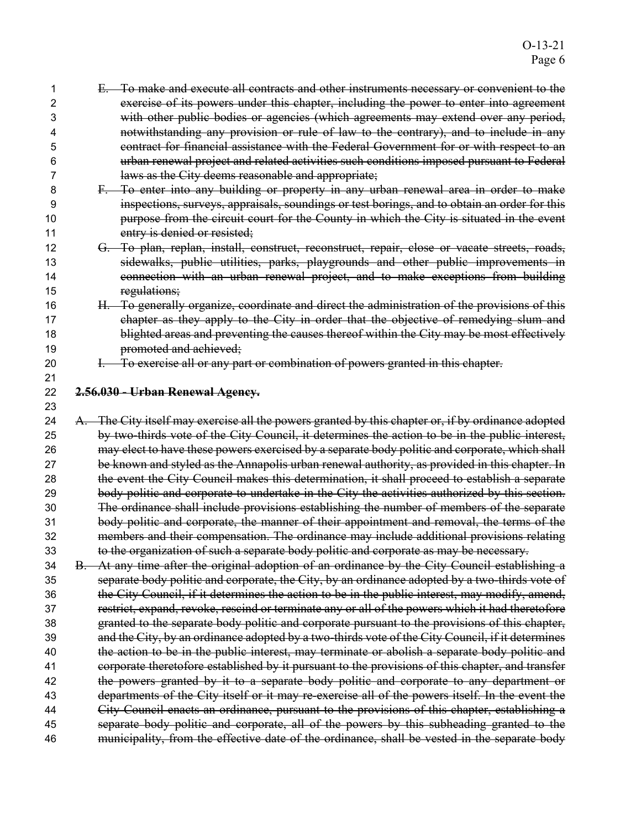| 1  | E. To make and execute all contracts and other instruments necessary or convenient to the          |
|----|----------------------------------------------------------------------------------------------------|
| 2  | exercise of its powers under this chapter, including the power to enter into agreement             |
| 3  | with other public bodies or agencies (which agreements may extend over any period,                 |
| 4  | notwithstanding any provision or rule of law to the contrary), and to include in any               |
| 5  | contract for financial assistance with the Federal Government for or with respect to an            |
| 6  | urban renewal project and related activities such conditions imposed pursuant to Federal           |
| 7  | laws as the City deems reasonable and appropriate;                                                 |
| 8  | F. To enter into any building or property in any urban renewal area in order to make               |
| 9  | inspections, surveys, appraisals, soundings or test borings, and to obtain an order for this       |
| 10 | purpose from the circuit court for the County in which the City is situated in the event           |
| 11 | entry is denied or resisted;                                                                       |
| 12 | G. To plan, replan, install, construct, reconstruct, repair, close or vacate streets, roads,       |
| 13 | sidewalks, public utilities, parks, playgrounds and other public improvements in                   |
| 14 | connection with an urban renewal project, and to make exceptions from building                     |
| 15 | regulations;                                                                                       |
| 16 | H. To generally organize, coordinate and direct the administration of the provisions of this       |
| 17 | chapter as they apply to the City in order that the objective of remedying slum and                |
| 18 | blighted areas and preventing the causes thereof within the City may be most effectively           |
| 19 | promoted and achieved;                                                                             |
| 20 | I. To exercise all or any part or combination of powers granted in this chapter.                   |
| 21 |                                                                                                    |
| 22 | 2.56.030 - Urban Renewal Agency.                                                                   |
| 23 |                                                                                                    |
| 24 | A. The City itself may exercise all the powers granted by this chapter or, if by ordinance adopted |
| 25 | by two-thirds vote of the City Council, it determines the action to be in the public interest,     |
| 26 | may elect to have these powers exercised by a separate body politic and corporate, which shall     |
| 27 | be known and styled as the Annapolis urban renewal authority, as provided in this chapter. In      |
| 28 | the event the City Council makes this determination, it shall proceed to establish a separate      |
| 29 | body politic and corporate to undertake in the City the activities authorized by this section.     |
| 30 | The ordinance shall include provisions establishing the number of members of the separate          |
| 31 | body politic and corporate, the manner of their appointment and removal, the terms of the          |
| 32 | members and their compensation. The ordinance may include additional provisions relating           |
| 33 | to the organization of such a separate body politic and corporate as may be necessary.             |
| 34 | B. At any time after the original adoption of an ordinance by the City Council establishing a      |
| 35 | separate body politic and corporate, the City, by an ordinance adopted by a two-thirds vote of     |
| 36 | the City Council, if it determines the action to be in the public interest, may modify, amend,     |
| 37 | restrict, expand, revoke, rescind or terminate any or all of the powers which it had theretofore   |
| 38 | granted to the separate body politic and corporate pursuant to the provisions of this chapter,     |
| 39 | and the City, by an ordinance adopted by a two-thirds vote of the City Council, if it determines   |
| 40 | the action to be in the public interest, may terminate or abolish a separate body politic and      |
| 41 | corporate theretofore established by it pursuant to the provisions of this chapter, and transfer   |
| 42 | the powers granted by it to a separate body politic and corporate to any department or             |
| 43 | departments of the City itself or it may re-exercise all of the powers itself. In the event the    |
| 44 | City Council enacts an ordinance, pursuant to the provisions of this chapter, establishing a       |
| 45 | separate body politic and corporate, all of the powers by this subheading granted to the           |
| 46 | municipality, from the effective date of the ordinance, shall be vested in the separate body       |
|    |                                                                                                    |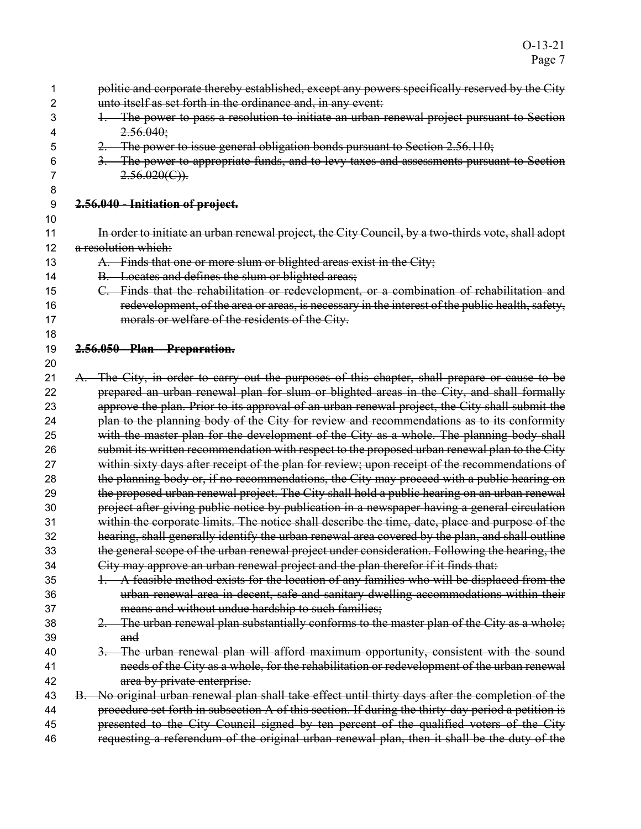| 1  | politic and corporate thereby established, except any powers specifically reserved by the City     |
|----|----------------------------------------------------------------------------------------------------|
| 2  | unto itself as set forth in the ordinance and, in any event:                                       |
| 3  | The power to pass a resolution to initiate an urban renewal project pursuant to Section<br>$+$     |
| 4  | 2.56.040;                                                                                          |
| 5  | 2. The power to issue general obligation bonds pursuant to Section 2.56.110;                       |
| 6  | 3. The power to appropriate funds, and to levy taxes and assessments pursuant to Section           |
| 7  | $2.56.020(C)$ .                                                                                    |
| 8  |                                                                                                    |
| 9  | 2.56.040 - Initiation of project.                                                                  |
| 10 |                                                                                                    |
| 11 | In order to initiate an urban renewal project, the City Council, by a two-thirds vote, shall adopt |
| 12 | a resolution which:                                                                                |
| 13 | A. Finds that one or more slum or blighted areas exist in the City;                                |
| 14 | B. Locates and defines the slum or blighted areas;                                                 |
| 15 | C. Finds that the rehabilitation or redevelopment, or a combination of rehabilitation and          |
| 16 | redevelopment, of the area or areas, is necessary in the interest of the public health, safety,    |
| 17 | morals or welfare of the residents of the City.                                                    |
| 18 |                                                                                                    |
| 19 | 2.56.050 - Plan - Preparation.                                                                     |
| 20 |                                                                                                    |
| 21 | A. The City, in order to carry out the purposes of this chapter, shall prepare or cause to be      |
| 22 | prepared an urban renewal plan for slum or blighted areas in the City, and shall formally          |
| 23 | approve the plan. Prior to its approval of an urban renewal project, the City shall submit the     |
| 24 | plan to the planning body of the City for review and recommendations as to its conformity          |
| 25 | with the master plan for the development of the City as a whole. The planning body shall           |
| 26 | submit its written recommendation with respect to the proposed urban renewal plan to the City      |
| 27 | within sixty days after receipt of the plan for review; upon receipt of the recommendations of     |
| 28 | the planning body or, if no recommendations, the City may proceed with a public hearing on         |
| 29 | the proposed urban renewal project. The City shall hold a public hearing on an urban renewal       |
| 30 | project after giving public notice by publication in a newspaper having a general circulation      |
| 31 | within the corporate limits. The notice shall describe the time, date, place and purpose of the    |
| 32 | hearing, shall generally identify the urban renewal area covered by the plan, and shall outline    |
| 33 | the general scope of the urban renewal project under consideration. Following the hearing, the     |
| 34 | City may approve an urban renewal project and the plan therefor if it finds that:                  |
| 35 | A feasible method exists for the location of any families who will be displaced from the           |
| 36 | urban renewal area in decent, safe and sanitary dwelling accommodations within their               |
| 37 | means and without undue hardship to such families;                                                 |
| 38 | 2. The urban renewal plan substantially conforms to the master plan of the City as a whole;        |
| 39 | and                                                                                                |
| 40 | 3. The urban renewal plan will afford maximum opportunity, consistent with the sound               |
| 41 | needs of the City as a whole, for the rehabilitation or redevelopment of the urban renewal         |
| 42 | area by private enterprise.                                                                        |
| 43 | B. No original urban renewal plan shall take effect until thirty days after the completion of the  |
| 44 | procedure set forth in subsection A of this section. If during the thirty-day period a petition is |
| 45 | presented to the City Council signed by ten percent of the qualified voters of the City            |
| 46 | requesting a referendum of the original urban renewal plan, then it shall be the duty of the       |
|    |                                                                                                    |
|    |                                                                                                    |
|    |                                                                                                    |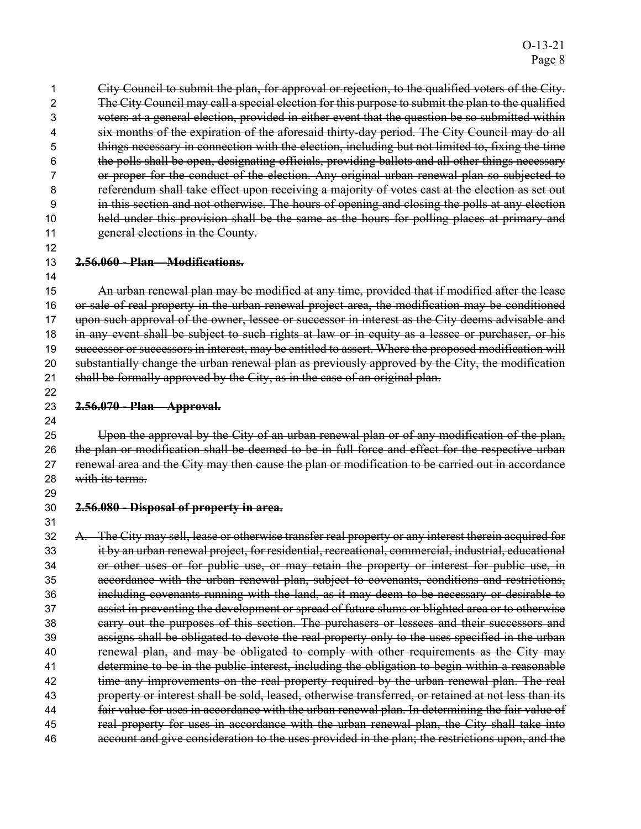City Council to submit the plan, for approval or rejection, to the qualified voters of the City. The City Council may call a special election for this purpose to submit the plan to the qualified voters at a general election, provided in either event that the question be so submitted within six months of the expiration of the aforesaid thirty-day period. The City Council may do all things necessary in connection with the election, including but not limited to, fixing the time the polls shall be open, designating officials, providing ballots and all other things necessary or proper for the conduct of the election. Any original urban renewal plan so subjected to referendum shall take effect upon receiving a majority of votes cast at the election as set out in this section and not otherwise. The hours of opening and closing the polls at any election held under this provision shall be the same as the hours for polling places at primary and 11 general elections in the County.

#### **2.56.060 - Plan—Modifications.**

An urban renewal plan may be modified at any time, provided that if modified after the lease or sale of real property in the urban renewal project area, the modification may be conditioned 17 upon such approval of the owner, lessee or successor in interest as the City deems advisable and 18 in any event shall be subject to such rights at law or in equity as a lessee or purchaser, or his successor or successors in interest, may be entitled to assert. Where the proposed modification will substantially change the urban renewal plan as previously approved by the City, the modification 21 shall be formally approved by the City, as in the case of an original plan. 

#### **2.56.070 - Plan—Approval.**

Upon the approval by the City of an urban renewal plan or of any modification of the plan, 26 the plan or modification shall be deemed to be in full force and effect for the respective urban 27 renewal area and the City may then cause the plan or modification to be carried out in accordance 28 with its terms.

 

#### **2.56.080 - Disposal of property in area.**

A. The City may sell, lease or otherwise transfer real property or any interest therein acquired for it by an urban renewal project, for residential, recreational, commercial, industrial, educational or other uses or for public use, or may retain the property or interest for public use, in accordance with the urban renewal plan, subject to covenants, conditions and restrictions, including covenants running with the land, as it may deem to be necessary or desirable to assist in preventing the development or spread of future slums or blighted area or to otherwise carry out the purposes of this section. The purchasers or lessees and their successors and assigns shall be obligated to devote the real property only to the uses specified in the urban 40 renewal plan, and may be obligated to comply with other requirements as the City may 41 determine to be in the public interest, including the obligation to begin within a reasonable 42 time any improvements on the real property required by the urban renewal plan. The real property or interest shall be sold, leased, otherwise transferred, or retained at not less than its fair value for uses in accordance with the urban renewal plan. In determining the fair value of 45 real property for uses in accordance with the urban renewal plan, the City shall take into account and give consideration to the uses provided in the plan; the restrictions upon, and the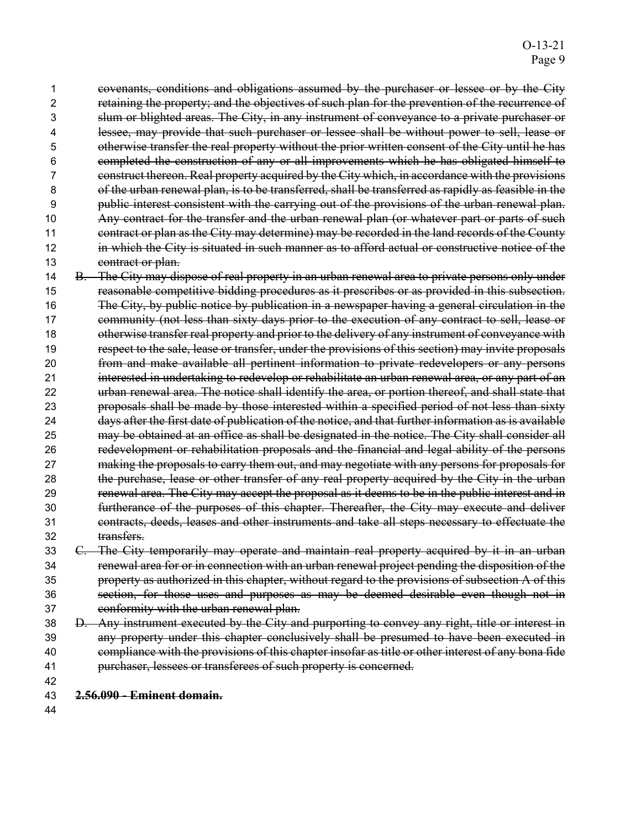covenants, conditions and obligations assumed by the purchaser or lessee or by the City retaining the property; and the objectives of such plan for the prevention of the recurrence of slum or blighted areas. The City, in any instrument of conveyance to a private purchaser or lessee, may provide that such purchaser or lessee shall be without power to sell, lease or otherwise transfer the real property without the prior written consent of the City until he has completed the construction of any or all improvements which he has obligated himself to construct thereon. Real property acquired by the City which, in accordance with the provisions of the urban renewal plan, is to be transferred, shall be transferred as rapidly as feasible in the public interest consistent with the carrying out of the provisions of the urban renewal plan. Any contract for the transfer and the urban renewal plan (or whatever part or parts of such 11 contract or plan as the City may determine) may be recorded in the land records of the County 12 in which the City is situated in such manner as to afford actual or constructive notice of the 13 contract or plan.

14 B. The City may dispose of real property in an urban renewal area to private persons only under reasonable competitive bidding procedures as it prescribes or as provided in this subsection. The City, by public notice by publication in a newspaper having a general circulation in the 17 community (not less than sixty days prior to the execution of any contract to sell, lease or 18 otherwise transfer real property and prior to the delivery of any instrument of conveyance with respect to the sale, lease or transfer, under the provisions of this section) may invite proposals from and make available all pertinent information to private redevelopers or any persons 21 interested in undertaking to redevelop or rehabilitate an urban renewal area, or any part of an urban renewal area. The notice shall identify the area, or portion thereof, and shall state that proposals shall be made by those interested within a specified period of not less than sixty days after the first date of publication of the notice, and that further information as is available may be obtained at an office as shall be designated in the notice. The City shall consider all redevelopment or rehabilitation proposals and the financial and legal ability of the persons making the proposals to carry them out, and may negotiate with any persons for proposals for 28 the purchase, lease or other transfer of any real property acquired by the City in the urban renewal area. The City may accept the proposal as it deems to be in the public interest and in furtherance of the purposes of this chapter. Thereafter, the City may execute and deliver contracts, deeds, leases and other instruments and take all steps necessary to effectuate the transfers.

C. The City temporarily may operate and maintain real property acquired by it in an urban renewal area for or in connection with an urban renewal project pending the disposition of the property as authorized in this chapter, without regard to the provisions of subsection A of this section, for those uses and purposes as may be deemed desirable even though not in conformity with the urban renewal plan.

D. Any instrument executed by the City and purporting to convey any right, title or interest in any property under this chapter conclusively shall be presumed to have been executed in compliance with the provisions of this chapter insofar as title or other interest of any bona fide purchaser, lessees or transferees of such property is concerned.

- 
- **2.56.090 Eminent domain.**
-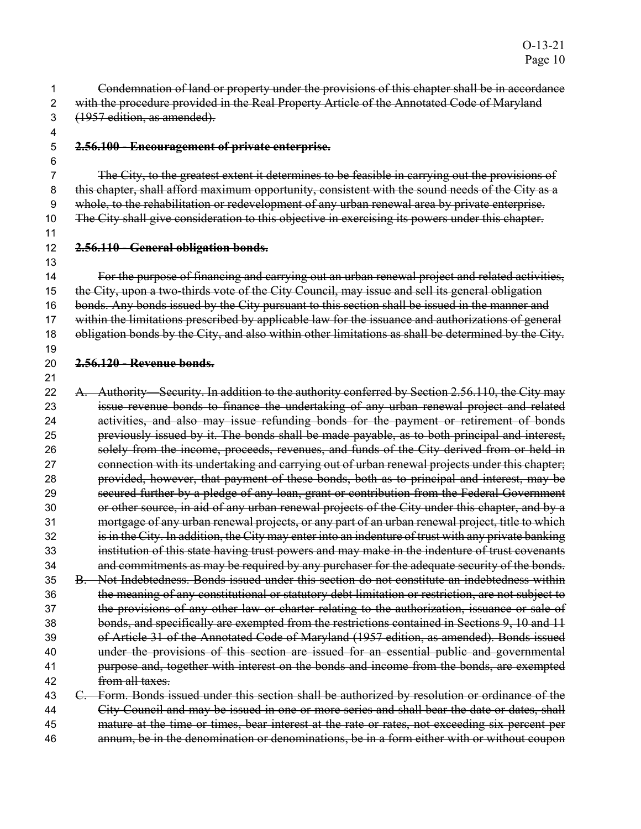Condemnation of land or property under the provisions of this chapter shall be in accordance 2 with the procedure provided in the Real Property Article of the Annotated Code of Maryland (1957 edition, as amended).

 

#### **2.56.100 - Encouragement of private enterprise.**

The City, to the greatest extent it determines to be feasible in carrying out the provisions of 8 this chapter, shall afford maximum opportunity, consistent with the sound needs of the City as a whole, to the rehabilitation or redevelopment of any urban renewal area by private enterprise. 10 The City shall give consideration to this objective in exercising its powers under this chapter.

### **2.56.110 - General obligation bonds.**

For the purpose of financing and carrying out an urban renewal project and related activities, the City, upon a two-thirds vote of the City Council, may issue and sell its general obligation 16 bonds. Any bonds issued by the City pursuant to this section shall be issued in the manner and 17 within the limitations prescribed by applicable law for the issuance and authorizations of general 18 obligation bonds by the City, and also within other limitations as shall be determined by the City. 

**2.56.120 - Revenue bonds.** 

22 A. Authority—Security. In addition to the authority conferred by Section 2.56.110, the City may issue revenue bonds to finance the undertaking of any urban renewal project and related activities, and also may issue refunding bonds for the payment or retirement of bonds previously issued by it. The bonds shall be made payable, as to both principal and interest, solely from the income, proceeds, revenues, and funds of the City derived from or held in 27 connection with its undertaking and carrying out of urban renewal projects under this chapter; provided, however, that payment of these bonds, both as to principal and interest, may be secured further by a pledge of any loan, grant or contribution from the Federal Government or other source, in aid of any urban renewal projects of the City under this chapter, and by a mortgage of any urban renewal projects, or any part of an urban renewal project, title to which 32 is in the City. In addition, the City may enter into an indenture of trust with any private banking institution of this state having trust powers and may make in the indenture of trust covenants and commitments as may be required by any purchaser for the adequate security of the bonds. B. Not Indebtedness. Bonds issued under this section do not constitute an indebtedness within 36 the meaning of any constitutional or statutory debt limitation or restriction, are not subject to 37 the provisions of any other law or charter relating to the authorization, issuance or sale of bonds, and specifically are exempted from the restrictions contained in Sections 9, 10 and 11 of Article 31 of the Annotated Code of Maryland (1957 edition, as amended). Bonds issued under the provisions of this section are issued for an essential public and governmental **purpose and, together with interest on the bonds and income from the bonds, are exempted** from all taxes. C. Form. Bonds issued under this section shall be authorized by resolution or ordinance of the

44 City Council and may be issued in one or more series and shall bear the date or dates, shall mature at the time or times, bear interest at the rate or rates, not exceeding six percent per annum, be in the denomination or denominations, be in a form either with or without coupon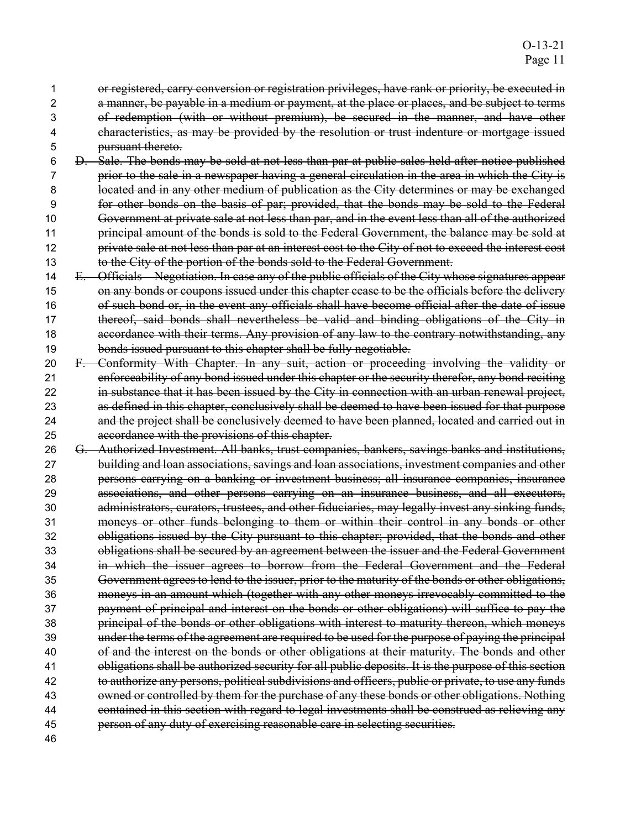or registered, carry conversion or registration privileges, have rank or priority, be executed in 2 a manner, be payable in a medium or payment, at the place or places, and be subject to terms of redemption (with or without premium), be secured in the manner, and have other characteristics, as may be provided by the resolution or trust indenture or mortgage issued pursuant thereto.

D. Sale. The bonds may be sold at not less than par at public sales held after notice published prior to the sale in a newspaper having a general circulation in the area in which the City is 8 located and in any other medium of publication as the City determines or may be exchanged for other bonds on the basis of par; provided, that the bonds may be sold to the Federal Government at private sale at not less than par, and in the event less than all of the authorized 11 principal amount of the bonds is sold to the Federal Government, the balance may be sold at 12 private sale at not less than par at an interest cost to the City of not to exceed the interest cost to the City of the portion of the bonds sold to the Federal Government.

14 E. Officials Negotiation. In case any of the public officials of the City whose signatures appear on any bonds or coupons issued under this chapter cease to be the officials before the delivery of such bond or, in the event any officials shall have become official after the date of issue 17 thereof, said bonds shall nevertheless be valid and binding obligations of the City in **accordance with their terms. Any provision of any law to the contrary notwithstanding, any** bonds issued pursuant to this chapter shall be fully negotiable.

- F. Conformity With Chapter. In any suit, action or proceeding involving the validity or enforceability of any bond issued under this chapter or the security therefor, any bond reciting 22 in substance that it has been issued by the City in connection with an urban renewal project, as defined in this chapter, conclusively shall be deemed to have been issued for that purpose and the project shall be conclusively deemed to have been planned, located and carried out in accordance with the provisions of this chapter.
- G. Authorized Investment. All banks, trust companies, bankers, savings banks and institutions, building and loan associations, savings and loan associations, investment companies and other persons carrying on a banking or investment business; all insurance companies, insurance associations, and other persons carrying on an insurance business, and all executors, administrators, curators, trustees, and other fiduciaries, may legally invest any sinking funds, 31 moneys or other funds belonging to them or within their control in any bonds or other obligations issued by the City pursuant to this chapter; provided, that the bonds and other obligations shall be secured by an agreement between the issuer and the Federal Government in which the issuer agrees to borrow from the Federal Government and the Federal Government agrees to lend to the issuer, prior to the maturity of the bonds or other obligations, moneys in an amount which (together with any other moneys irrevocably committed to the payment of principal and interest on the bonds or other obligations) will suffice to pay the principal of the bonds or other obligations with interest to maturity thereon, which moneys under the terms of the agreement are required to be used for the purpose of paying the principal of and the interest on the bonds or other obligations at their maturity. The bonds and other obligations shall be authorized security for all public deposits. It is the purpose of this section 42 to authorize any persons, political subdivisions and officers, public or private, to use any funds owned or controlled by them for the purchase of any these bonds or other obligations. Nothing contained in this section with regard to legal investments shall be construed as relieving any person of any duty of exercising reasonable care in selecting securities.
-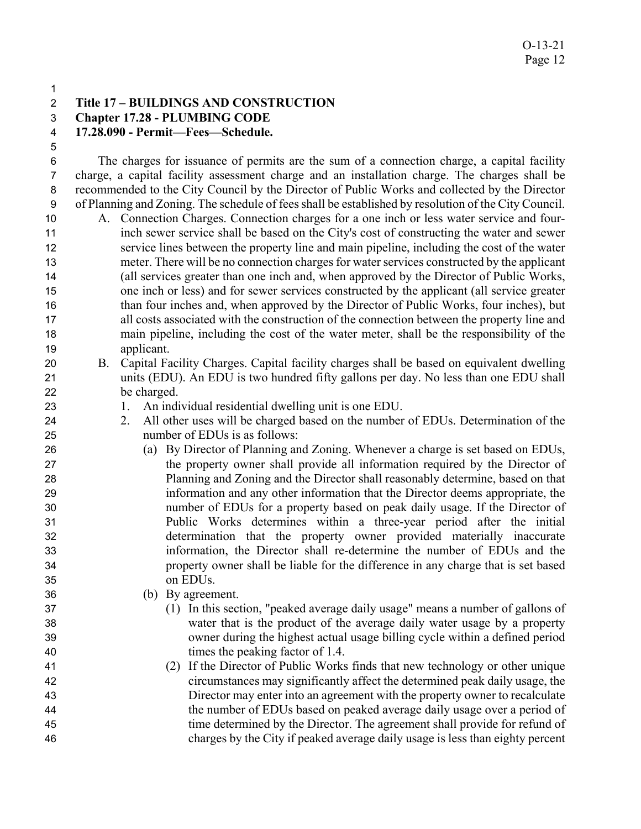### **Title 17 – BUILDINGS AND CONSTRUCTION**

**Chapter 17.28 - PLUMBING CODE** 

**17.28.090 - Permit—Fees—Schedule.** 

The charges for issuance of permits are the sum of a connection charge, a capital facility charge, a capital facility assessment charge and an installation charge. The charges shall be recommended to the City Council by the Director of Public Works and collected by the Director of Planning and Zoning. The schedule of fees shall be established by resolution of the City Council. A. Connection Charges. Connection charges for a one inch or less water service and four-inch sewer service shall be based on the City's cost of constructing the water and sewer service lines between the property line and main pipeline, including the cost of the water meter. There will be no connection charges for water services constructed by the applicant (all services greater than one inch and, when approved by the Director of Public Works, one inch or less) and for sewer services constructed by the applicant (all service greater 16 than four inches and, when approved by the Director of Public Works, four inches), but all costs associated with the construction of the connection between the property line and main pipeline, including the cost of the water meter, shall be the responsibility of the applicant.

- B. Capital Facility Charges. Capital facility charges shall be based on equivalent dwelling units (EDU). An EDU is two hundred fifty gallons per day. No less than one EDU shall be charged.
- 1. An individual residential dwelling unit is one EDU.
- 24 2. All other uses will be charged based on the number of EDUs. Determination of the number of EDUs is as follows:
- (a) By Director of Planning and Zoning. Whenever a charge is set based on EDUs, the property owner shall provide all information required by the Director of Planning and Zoning and the Director shall reasonably determine, based on that information and any other information that the Director deems appropriate, the number of EDUs for a property based on peak daily usage. If the Director of Public Works determines within a three-year period after the initial determination that the property owner provided materially inaccurate information, the Director shall re-determine the number of EDUs and the property owner shall be liable for the difference in any charge that is set based on EDUs.
- (b) By agreement.
- (1) In this section, "peaked average daily usage" means a number of gallons of water that is the product of the average daily water usage by a property owner during the highest actual usage billing cycle within a defined period times the peaking factor of 1.4.
- (2) If the Director of Public Works finds that new technology or other unique circumstances may significantly affect the determined peak daily usage, the Director may enter into an agreement with the property owner to recalculate the number of EDUs based on peaked average daily usage over a period of time determined by the Director. The agreement shall provide for refund of charges by the City if peaked average daily usage is less than eighty percent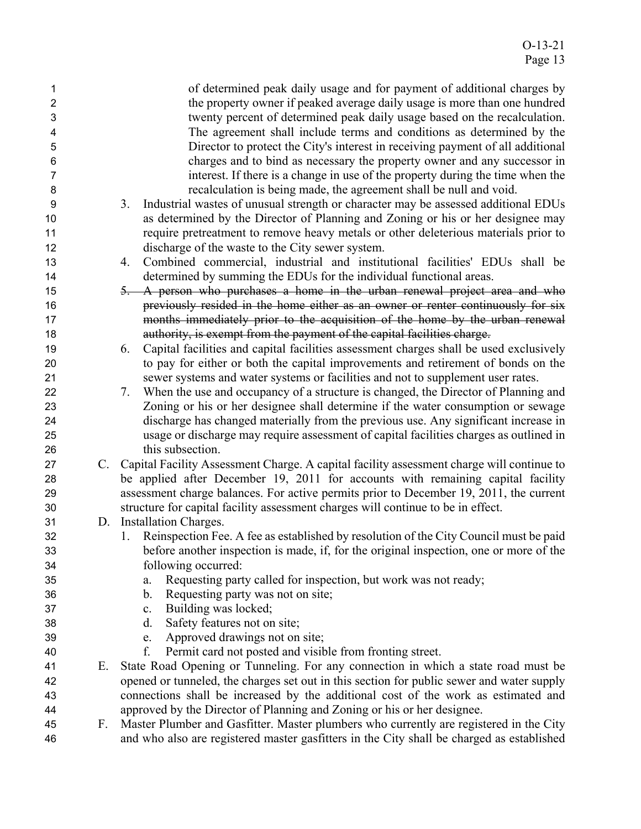| 1                |    | of determined peak daily usage and for payment of additional charges by                      |
|------------------|----|----------------------------------------------------------------------------------------------|
| $\overline{c}$   |    | the property owner if peaked average daily usage is more than one hundred                    |
| 3                |    | twenty percent of determined peak daily usage based on the recalculation.                    |
| 4                |    | The agreement shall include terms and conditions as determined by the                        |
| 5                |    | Director to protect the City's interest in receiving payment of all additional               |
| 6                |    | charges and to bind as necessary the property owner and any successor in                     |
| $\overline{7}$   |    | interest. If there is a change in use of the property during the time when the               |
| 8                |    | recalculation is being made, the agreement shall be null and void.                           |
| $\boldsymbol{9}$ |    | Industrial wastes of unusual strength or character may be assessed additional EDUs<br>3.     |
| 10               |    | as determined by the Director of Planning and Zoning or his or her designee may              |
| 11               |    | require pretreatment to remove heavy metals or other deleterious materials prior to          |
| 12               |    | discharge of the waste to the City sewer system.                                             |
| 13               |    | Combined commercial, industrial and institutional facilities' EDUs shall be<br>4.            |
| 14               |    | determined by summing the EDUs for the individual functional areas.                          |
| 15               |    | 5. A person who purchases a home in the urban renewal project area and who                   |
| 16               |    | previously resided in the home either as an owner or renter continuously for six             |
| 17               |    | months immediately prior to the acquisition of the home by the urban renewal                 |
| 18               |    | authority, is exempt from the payment of the capital facilities charge.                      |
| 19               |    | Capital facilities and capital facilities assessment charges shall be used exclusively<br>6. |
| 20               |    | to pay for either or both the capital improvements and retirement of bonds on the            |
| 21               |    | sewer systems and water systems or facilities and not to supplement user rates.              |
| 22               |    | When the use and occupancy of a structure is changed, the Director of Planning and<br>7.     |
| 23               |    | Zoning or his or her designee shall determine if the water consumption or sewage             |
| 24               |    | discharge has changed materially from the previous use. Any significant increase in          |
| 25               |    | usage or discharge may require assessment of capital facilities charges as outlined in       |
| 26               |    | this subsection.                                                                             |
| 27               |    | C. Capital Facility Assessment Charge. A capital facility assessment charge will continue to |
| 28               |    | be applied after December 19, 2011 for accounts with remaining capital facility              |
| 29               |    | assessment charge balances. For active permits prior to December 19, 2011, the current       |
| 30               |    | structure for capital facility assessment charges will continue to be in effect.             |
| 31               |    | D. Installation Charges.                                                                     |
| 32               |    | 1. Reinspection Fee. A fee as established by resolution of the City Council must be paid     |
| 33               |    | before another inspection is made, if, for the original inspection, one or more of the       |
| 34               |    | following occurred:                                                                          |
| 35               |    | Requesting party called for inspection, but work was not ready;<br>a.                        |
| 36               |    | b.<br>Requesting party was not on site;                                                      |
| 37               |    | Building was locked;<br>$c_{\cdot}$                                                          |
| 38               |    | Safety features not on site;<br>d.                                                           |
| 39               |    | Approved drawings not on site;<br>e.                                                         |
| 40               |    | f.<br>Permit card not posted and visible from fronting street.                               |
| 41               | Е. | State Road Opening or Tunneling. For any connection in which a state road must be            |
| 42               |    | opened or tunneled, the charges set out in this section for public sewer and water supply    |
| 43               |    | connections shall be increased by the additional cost of the work as estimated and           |
| 44               |    | approved by the Director of Planning and Zoning or his or her designee.                      |
| 45               | F. | Master Plumber and Gasfitter. Master plumbers who currently are registered in the City       |
| 46               |    | and who also are registered master gasfitters in the City shall be charged as established    |
|                  |    |                                                                                              |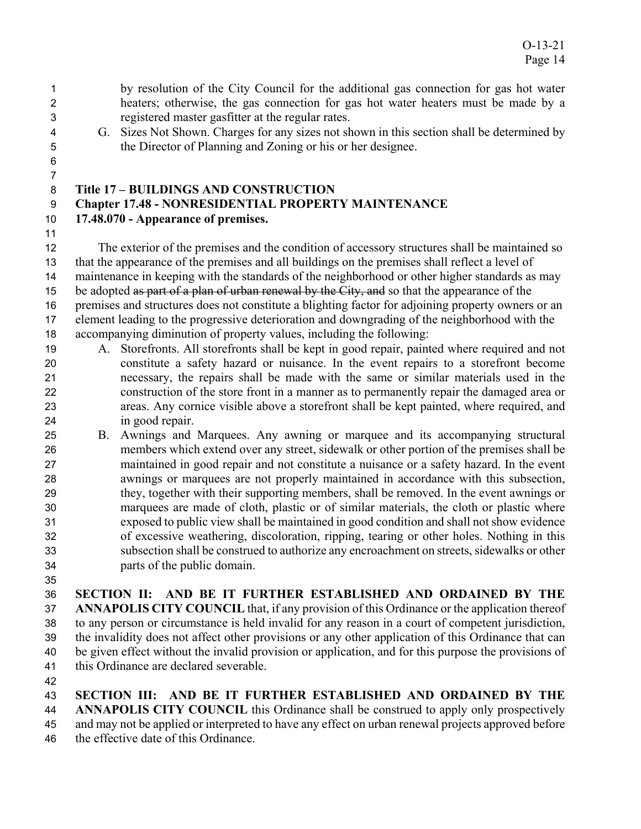### by resolution of the City Council for the additional gas connection for gas hot water heaters; otherwise, the gas connection for gas hot water heaters must be made by a registered master gasfitter at the regular rates.

- G. Sizes Not Shown. Charges for any sizes not shown in this section shall be determined by the Director of Planning and Zoning or his or her designee.
- 

# **Title 17 – BUILDINGS AND CONSTRUCTION**

### **Chapter 17.48 - NONRESIDENTIAL PROPERTY MAINTENANCE**

### **17.48.070 - Appearance of premises.**

The exterior of the premises and the condition of accessory structures shall be maintained so that the appearance of the premises and all buildings on the premises shall reflect a level of maintenance in keeping with the standards of the neighborhood or other higher standards as may 15 be adopted as part of a plan of urban renewal by the City, and so that the appearance of the premises and structures does not constitute a blighting factor for adjoining property owners or an element leading to the progressive deterioration and downgrading of the neighborhood with the accompanying diminution of property values, including the following:

- A. Storefronts. All storefronts shall be kept in good repair, painted where required and not constitute a safety hazard or nuisance. In the event repairs to a storefront become necessary, the repairs shall be made with the same or similar materials used in the construction of the store front in a manner as to permanently repair the damaged area or areas. Any cornice visible above a storefront shall be kept painted, where required, and in good repair.
- B. Awnings and Marquees. Any awning or marquee and its accompanying structural members which extend over any street, sidewalk or other portion of the premises shall be maintained in good repair and not constitute a nuisance or a safety hazard. In the event awnings or marquees are not properly maintained in accordance with this subsection, they, together with their supporting members, shall be removed. In the event awnings or marquees are made of cloth, plastic or of similar materials, the cloth or plastic where exposed to public view shall be maintained in good condition and shall not show evidence of excessive weathering, discoloration, ripping, tearing or other holes. Nothing in this subsection shall be construed to authorize any encroachment on streets, sidewalks or other parts of the public domain.
- 

**SECTION II: AND BE IT FURTHER ESTABLISHED AND ORDAINED BY THE ANNAPOLIS CITY COUNCIL** that, if any provision of this Ordinance or the application thereof to any person or circumstance is held invalid for any reason in a court of competent jurisdiction, the invalidity does not affect other provisions or any other application of this Ordinance that can

be given effect without the invalid provision or application, and for this purpose the provisions of this Ordinance are declared severable.

**SECTION III: AND BE IT FURTHER ESTABLISHED AND ORDAINED BY THE ANNAPOLIS CITY COUNCIL** this Ordinance shall be construed to apply only prospectively

- and may not be applied or interpreted to have any effect on urban renewal projects approved before
- the effective date of this Ordinance.